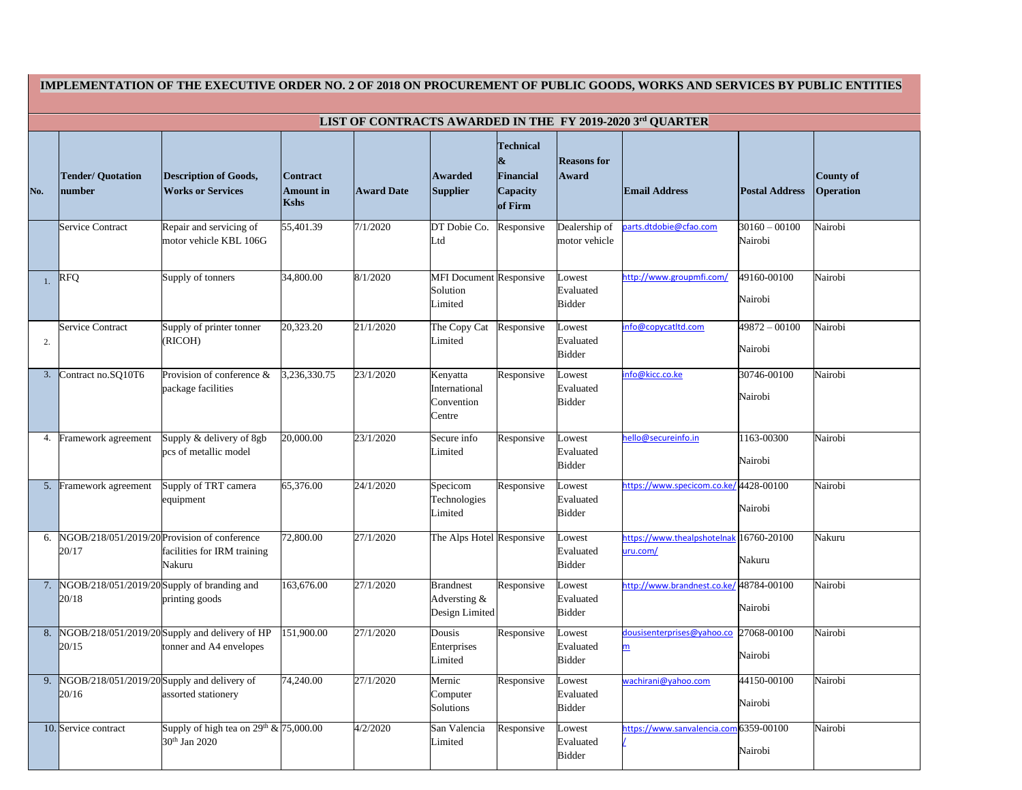| IMPLEMENTATION OF THE EXECUTIVE ORDER NO. 2 OF 2018 ON PROCUREMENT OF PUBLIC GOODS, WORKS AND SERVICES BY PUBLIC ENTITIES |                                                      |                                                                                       |                                             |                   |                                                       |                                                                  |                                      |                                         |                            |                                      |
|---------------------------------------------------------------------------------------------------------------------------|------------------------------------------------------|---------------------------------------------------------------------------------------|---------------------------------------------|-------------------|-------------------------------------------------------|------------------------------------------------------------------|--------------------------------------|-----------------------------------------|----------------------------|--------------------------------------|
| LIST OF CONTRACTS AWARDED IN THE FY 2019-2020 3rd QUARTER                                                                 |                                                      |                                                                                       |                                             |                   |                                                       |                                                                  |                                      |                                         |                            |                                      |
| No.                                                                                                                       | <b>Tender/ Quotation</b><br>number                   | <b>Description of Goods,</b><br><b>Works or Services</b>                              | <b>Contract</b><br><b>Amount</b> in<br>Kshs | <b>Award Date</b> | Awarded<br><b>Supplier</b>                            | <b>Technical</b><br>&<br><b>Financial</b><br>Capacity<br>of Firm | <b>Reasons for</b><br><b>Award</b>   | <b>Email Address</b>                    | <b>Postal Address</b>      | <b>County of</b><br><b>Operation</b> |
|                                                                                                                           | Service Contract                                     | Repair and servicing of<br>motor vehicle KBL 106G                                     | 55,401.39                                   | 7/1/2020          | DT Dobie Co.<br>Ltd                                   | Responsive                                                       | Dealership of<br>motor vehicle       | parts.dtdobie@cfao.com                  | $30160 - 00100$<br>Nairobi | Nairobi                              |
|                                                                                                                           | <b>RFQ</b>                                           | Supply of tonners                                                                     | 34,800.00                                   | 8/1/2020          | <b>MFI Document Responsive</b><br>Solution<br>Limited |                                                                  | owest<br>Evaluated<br><b>Bidder</b>  | http://www.groupmfi.com/                | 49160-00100<br>Nairobi     | Nairobi                              |
| 2.                                                                                                                        | <b>Service Contract</b>                              | Supply of printer tonner<br>(RICOH)                                                   | 20,323.20                                   | 21/1/2020         | The Copy Cat<br>Limited                               | Responsive                                                       | Lowest<br>Evaluated<br><b>Bidder</b> | info@copycatltd.com                     | 49872 - 00100<br>Nairobi   | Nairobi                              |
| 3.                                                                                                                        | Contract no.SQ10T6                                   | Provision of conference $\&$<br>package facilities                                    | 3,236,330.75                                | 23/1/2020         | Kenyatta<br>International<br>Convention<br>Centre     | Responsive                                                       | Lowest<br>Evaluated<br><b>Bidder</b> | info@kicc.co.ke                         | 30746-00100<br>Nairobi     | Nairobi                              |
| 4.                                                                                                                        | Framework agreement                                  | Supply & delivery of 8gb<br>pcs of metallic model                                     | 20,000.00                                   | 23/1/2020         | Secure info<br>Limited                                | Responsive                                                       | Lowest<br>Evaluated<br><b>Bidder</b> | hello@secureinfo.in                     | 1163-00300<br>Nairobi      | Nairobi                              |
| 5.                                                                                                                        | Framework agreement                                  | Supply of TRT camera<br>equipment                                                     | 65,376.00                                   | 24/1/2020         | Specicom<br>Technologies<br>Limited                   | Responsive                                                       | owest<br>Evaluated<br><b>Bidder</b>  | https://www.specicom.co.ke/4428-00100   | Nairobi                    | Nairobi                              |
| 6.                                                                                                                        | 20/17                                                | NGOB/218/051/2019/20 Provision of conference<br>facilities for IRM training<br>Nakuru | 72,800.00                                   | 27/1/2020         | The Alps Hotel Responsive                             |                                                                  | owest<br>Evaluated<br><b>Bidder</b>  | https://www.thealpshotelnak<br>uru.com/ | 16760-20100<br>Nakuru      | Nakuru                               |
| 7.                                                                                                                        | 20/18                                                | NGOB/218/051/2019/20 Supply of branding and<br>printing goods                         | 163,676.00                                  | 27/1/2020         | <b>Brandnest</b><br>Adversting &<br>Design Limited    | Responsive                                                       | Lowest<br>Evaluated<br><b>Bidder</b> | http://www.brandnest.co.ke/ 48784-00100 | Nairobi                    | Nairobi                              |
| 8.                                                                                                                        | 20/15                                                | NGOB/218/051/2019/20 Supply and delivery of HP<br>tonner and A4 envelopes             | 151,900.00                                  | 27/1/2020         | Dousis<br>Enterprises<br>Limited                      | Responsive                                                       | Lowest<br>Evaluated<br><b>Bidder</b> | dousisenterprises@yahoo.co<br>m         | 27068-00100<br>Nairobi     | Nairobi                              |
| 9.                                                                                                                        | NGOB/218/051/2019/20 Supply and delivery of<br>20/16 | assorted stationery                                                                   | 74,240.00                                   | 27/1/2020         | Mernic<br>Computer<br>Solutions                       | Responsive                                                       | Lowest<br>Evaluated<br><b>Bidder</b> | wachirani@yahoo.com                     | 44150-00100<br>Nairobi     | Nairobi                              |
|                                                                                                                           | 10. Service contract                                 | Supply of high tea on $29^{th} \& 75,000.00$<br>30 <sup>th</sup> Jan 2020             |                                             | 4/2/2020          | San Valencia<br>Limited                               | Responsive                                                       | Lowest<br>Evaluated<br><b>Bidder</b> | https://www.sanvalencia.com 6359-00100  | Nairobi                    | Nairobi                              |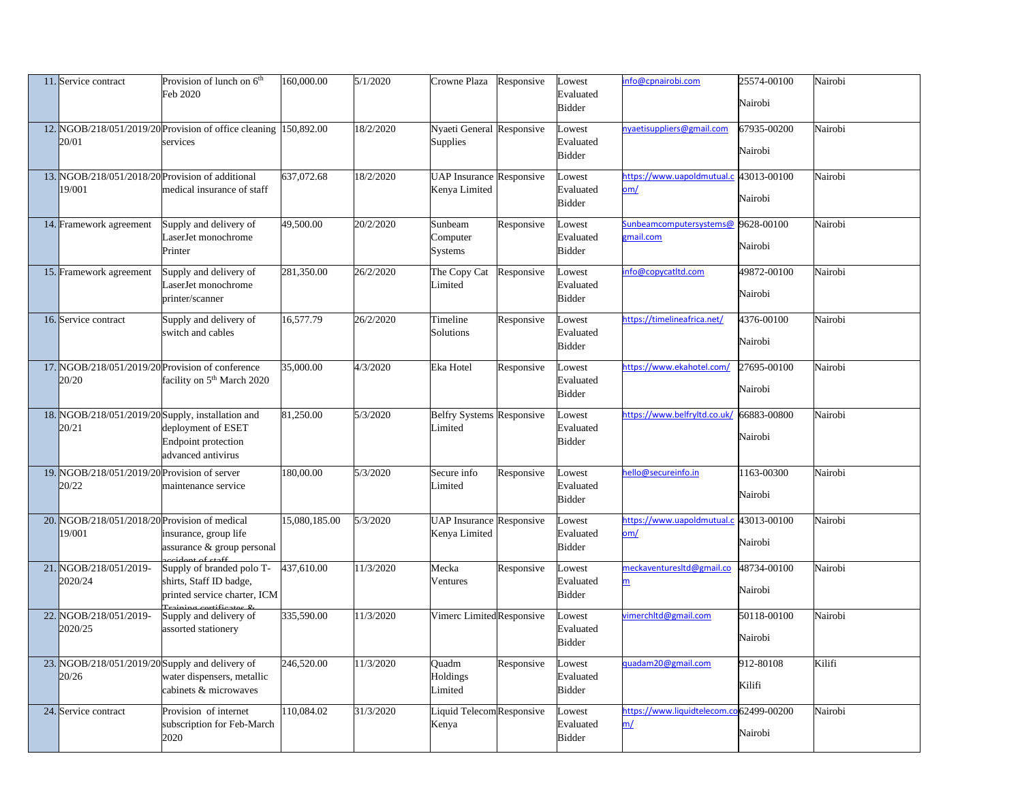| 11. Service contract                                       | Provision of lunch on $6th$<br>Feb 2020                                                                                                    | 160,000.00    | 5/1/2020  | Crowne Plaza                                        | Responsive | Lowest<br>Evaluated                  | info@cpnairobi.com                                    | 25574-00100<br>Nairobi | Nairobi |
|------------------------------------------------------------|--------------------------------------------------------------------------------------------------------------------------------------------|---------------|-----------|-----------------------------------------------------|------------|--------------------------------------|-------------------------------------------------------|------------------------|---------|
|                                                            |                                                                                                                                            |               |           |                                                     |            | <b>Bidder</b>                        |                                                       |                        |         |
| 20/01                                                      | 12. NGOB/218/051/2019/20 Provision of office cleaning 150,892.00<br>services                                                               |               | 18/2/2020 | <b>Nyaeti General Responsive</b><br><b>Supplies</b> |            | Lowest<br>Evaluated<br><b>Bidder</b> | nyaetisuppliers@gmail.com                             | 67935-00200<br>Nairobi | Nairobi |
| 13. NGOB/218/051/2018/20 Provision of additional<br>19/001 | medical insurance of staff                                                                                                                 | 637,072.68    | 18/2/2020 | <b>UAP Insurance Responsive</b><br>Kenya Limited    |            | Lowest<br>Evaluated<br><b>Bidder</b> | https://www.uapoldmutual.c<br>om/                     | 43013-00100<br>Nairobi | Nairobi |
| 14. Framework agreement                                    | Supply and delivery of<br>LaserJet monochrome<br>Printer                                                                                   | 49,500.00     | 20/2/2020 | Sunbeam<br>Computer<br><b>Systems</b>               | Responsive | Lowest<br>Evaluated<br><b>Bidder</b> | Sunbeamcomputersystems@<br>gmail.com                  | 9628-00100<br>Nairobi  | Nairobi |
| 15. Framework agreement                                    | Supply and delivery of<br>LaserJet monochrome<br>printer/scanner                                                                           | 281,350.00    | 26/2/2020 | The Copy Cat<br>Limited                             | Responsive | Lowest<br>Evaluated<br><b>Bidder</b> | info@copycatltd.com                                   | 49872-00100<br>Nairobi | Nairobi |
| 16. Service contract                                       | Supply and delivery of<br>switch and cables                                                                                                | 16,577.79     | 26/2/2020 | Timeline<br>Solutions                               | Responsive | Lowest<br>Evaluated<br><b>Bidder</b> | https://timelineafrica.net/                           | 4376-00100<br>Nairobi  | Nairobi |
| 20/20                                                      | 17. NGOB/218/051/2019/20 Provision of conference<br>facility on 5 <sup>th</sup> March 2020                                                 | 35,000.00     | 4/3/2020  | Eka Hotel                                           | Responsive | Lowest<br>Evaluated<br><b>Bidder</b> | https://www.ekahotel.com/                             | 27695-00100<br>Nairobi | Nairobi |
| 18. NGOB/218/051/2019/20 Supply, installation and<br>20/21 | deployment of ESET<br><b>Endpoint protection</b><br>advanced antivirus                                                                     | 81,250.00     | 5/3/2020  | <b>Belfry Systems Responsive</b><br>Limited         |            | Lowest<br>Evaluated<br><b>Bidder</b> | https://www.belfryltd.co.uk/                          | 66883-00800<br>Nairobi | Nairobi |
| 19. NGOB/218/051/2019/20 Provision of server<br>20/22      | maintenance service                                                                                                                        | 180,00.00     | 5/3/2020  | Secure info<br>Limited                              | Responsive | Lowest<br>Evaluated<br><b>Bidder</b> | hello@secureinfo.in                                   | 163-00300<br>Nairobi   | Nairobi |
| 20. NGOB/218/051/2018/20 Provision of medical<br>19/001    | insurance, group life<br>assurance & group personal<br>ridant of staff                                                                     | 15,080,185.00 | 5/3/2020  | <b>UAP Insurance Responsive</b><br>Kenya Limited    |            | Lowest<br>Evaluated<br><b>Bidder</b> | https://www.uapoldmutual.c<br><u>om/</u>              | 43013-00100<br>Nairobi | Nairobi |
| 21. NGOB/218/051/2019-<br>2020/24                          | Supply of branded polo T-<br>shirts, Staff ID badge,<br>printed service charter, ICM<br>$T_{\text{reining}}$ ortificator $\ell_{\text{r}}$ | 437,610.00    | 11/3/2020 | Mecka<br>Ventures                                   | Responsive | Lowest<br>Evaluated<br><b>Bidder</b> | meckaventuresItd@gmail.co<br>$\underline{\mathsf{m}}$ | 48734-00100<br>Nairobi | Nairobi |
| 22. NGOB/218/051/2019-<br>2020/25                          | Supply and delivery of<br>assorted stationery                                                                                              | 335,590.00    | 11/3/2020 | Vimerc Limited Responsive                           |            | Lowest<br>Evaluated<br><b>Bidder</b> | vimerchitd@gmail.com                                  | 50118-00100<br>Nairobi | Nairobi |
| 23. NGOB/218/051/2019/20 Supply and delivery of<br>20/26   | water dispensers, metallic<br>cabinets & microwaves                                                                                        | 246,520.00    | 11/3/2020 | Quadm<br>Holdings<br>Limited                        | Responsive | Lowest<br>Evaluated<br><b>Bidder</b> | quadam20@gmail.com                                    | 912-80108<br>Kilifi    | Kilifi  |
| 24. Service contract                                       | Provision of internet<br>subscription for Feb-March<br>2020                                                                                | 110,084.02    | 31/3/2020 | Liquid TelecomResponsive<br>Kenya                   |            | Lowest<br>Evaluated<br><b>Bidder</b> | https://www.liquidtelecom.co62499-00200<br>m/         | Nairobi                | Nairobi |